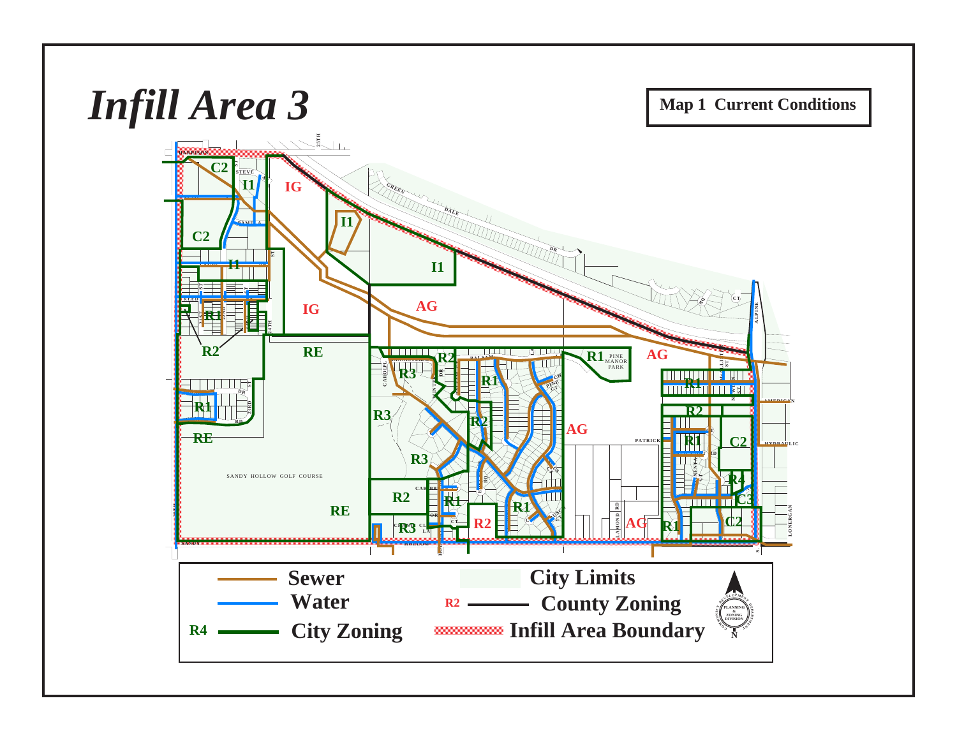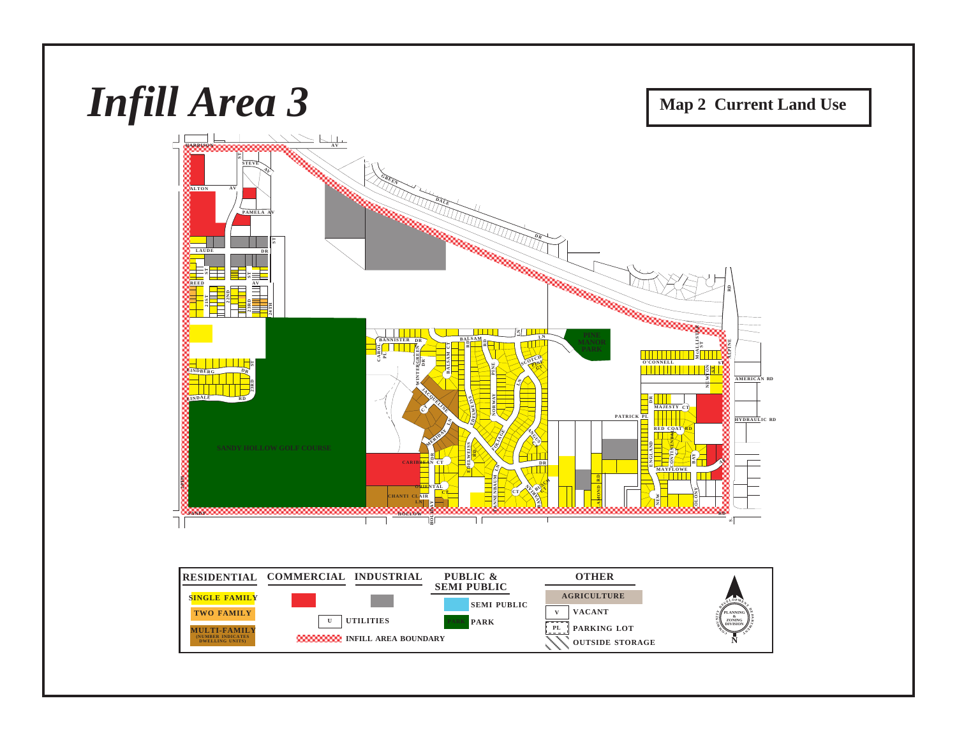